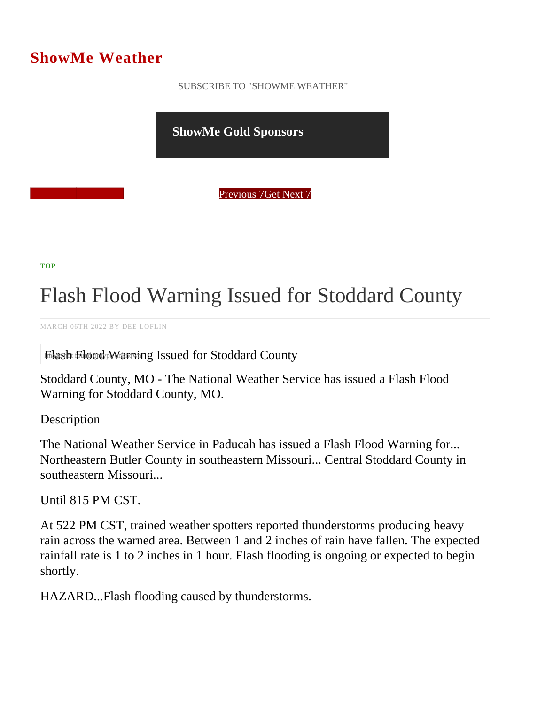## ShowMe Weather

 [SUBSCRIBE TO "SHOWME WEATHER"](/blog_rss.php)

ShowMe Gold Sponsors

Previous Get Next 7

[TOP](/var/www/showmetimes.com/root/javascript:blogScrollToTop()

## Flash Flood Warning Issued for Stoddard Unity

MARCH 06TH 2022 BY DEE LOFLIN

Flash Flood Warning Issued for Stoddard County

Stoddard County, MO - The National Weather Service has issued a Flash Flood Warning for Stoddard County, MO.

**Description** 

The National Weather Service in Paducah has issued a Flash Flood Warning for... Northeastern Butler County in southeastern Missouri... Central Stoddard County in southeastern Missouri...

Until 815 PM CST.

At 522 PM CST, trained weather spotters reported thunderstorms producing heavy rain across the warned area. Between 1 and 2 inches of rain have fallen. The expected rainfall rate is 1 to 2 inches in 1 hour. Flash flooding is ongoing or expected to begin shortly.

HAZARD...Flash flooding caused by thunderstorms.